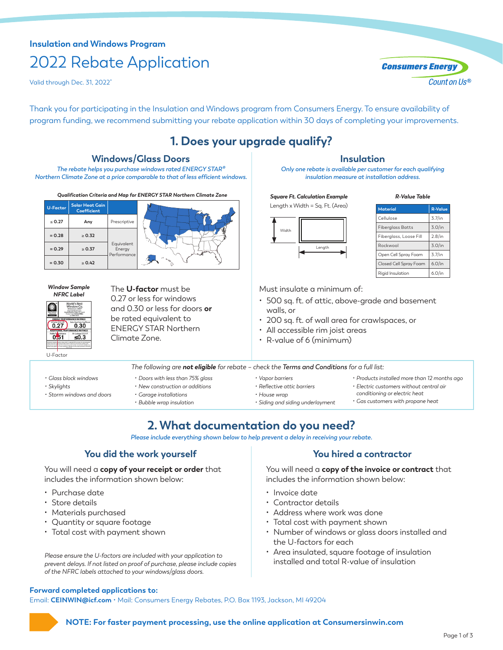# **Insulation and Windows Program** 2022 Rebate Application

Valid through Dec. 31, 2022\*

Thank you for participating in the Insulation and Windows program from Consumers Energy. To ensure availability of program funding, we recommend submitting your rebate application within 30 days of completing your improvements.

# **1. Does your upgrade qualify?**

# **Windows/Glass Doors**

*The rebate helps you purchase windows rated ENERGY STAR® Northern Climate Zone at a price comparable to that of less efficient windows.*

*Qualification Criteria and Map for ENERGY STAR Northern Climate Zone*



#### *Window Sample NFRC Label*



*• Glass block windows • Skylights*

*• Storm windows and doors*

The **U-factor** must be 0.27 or less for windows and 0.30 or less for doors **or** be rated equivalent to ENERGY STAR Northern Climate Zone.

> *• Doors with less than 75% glass • New construction or additions • Garage installations • Bubble wrap insulation*

# **Insulation**

*Only one rebate is available per customer for each qualifying insulation measure at installation address.*

*Square Ft. Calculation Example* Length x Width = Sq. Ft. (Area)



| <b>Material</b>         | <b>R-Value</b> |
|-------------------------|----------------|
| Cellulose               | $3.7/$ in      |
| <b>Fiberglass Batts</b> | $3.0/$ in      |
| Fiberglass, Loose Fill  | 2.8/in         |
| Rockwool                | $3.0/$ in      |
| Open Cell Spray Foam    | $3.7/$ in      |
| Closed Cell Spray Foam  | 6.0/in         |
| Riaid Insulation        | $6.0/$ in      |

*R-Value Table*

Must insulate a minimum of:

- 500 sq. ft. of attic, above-grade and basement walls, or
- 200 sq. ft. of wall area for crawlspaces, or
- All accessible rim joist areas
- R-value of 6 (minimum)

*The following are not eligible for rebate – check the Terms and Conditions for a full list:*

- *• Vapor barriers • Reflective attic barriers*
- *• Products installed more than 12 months ago*
- *• Electric customers without central air*
- *• House wrap*
- *conditioning or electric heat*
- *• Siding and siding underlayment*
- 
- *• Gas customers with propane heat*

# **2. What documentation do you need?**

*Please include everything shown below to help prevent a delay in receiving your rebate.*

# **You did the work yourself You hired a contractor**

You will need a **copy of your receipt or order** that includes the information shown below:

- Purchase date
- Store details
- Materials purchased
- Quantity or square footage
- Total cost with payment shown

*Please ensure the U-factors are included with your application to prevent delays. If not listed on proof of purchase, please include copies of the NFRC labels attached to your windows/glass doors.*

You will need a **copy of the invoice or contract** that includes the information shown below:

- Invoice date
- Contractor details
- Address where work was done
- Total cost with payment shown
- Number of windows or glass doors installed and the U-factors for each
- Area insulated, square footage of insulation installed and total R-value of insulation

## **Forward completed applications to:**

Email: **[CEINWIN@icf.com](mailto:CEINWIN@icf.com)** • Mail: Consumers Energy Rebates, P.O. Box 1193, Jackson, MI 49204



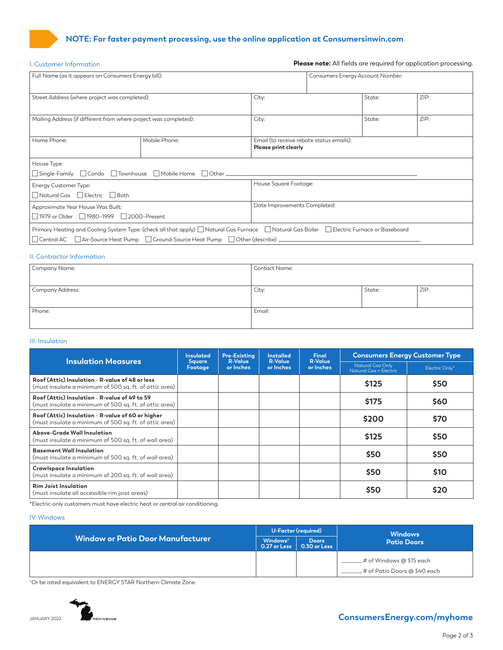# **NOTE: For faster payment processing, use the online application at [Consumersinwin.com](http://Consumersinwin.com)**

| I. Customer Information                                                                                                                    |                                                     |                                                                         |                                  |        | <b>Please note:</b> All fields are required for application processing. |  |
|--------------------------------------------------------------------------------------------------------------------------------------------|-----------------------------------------------------|-------------------------------------------------------------------------|----------------------------------|--------|-------------------------------------------------------------------------|--|
|                                                                                                                                            | Full Name (as it appears on Consumers Energy bill): |                                                                         | Consumers Energy Account Number: |        |                                                                         |  |
| Street Address (where project was completed):                                                                                              |                                                     | City:                                                                   |                                  | State: | ZIP:                                                                    |  |
| Mailing Address (if different from where project was completed):                                                                           |                                                     | City:                                                                   |                                  | State: | ZIP:                                                                    |  |
| Home Phone:                                                                                                                                | Mobile Phone:                                       | Email (to receive rebate status emails):<br><b>Please print clearly</b> |                                  |        |                                                                         |  |
| House Type:                                                                                                                                |                                                     |                                                                         |                                  |        |                                                                         |  |
| Energy Customer Type:<br>Natural Gas □ Electric □ Both                                                                                     | House Square Footage:                               |                                                                         |                                  |        |                                                                         |  |
| Approximate Year House Was Built:<br>$\Box$ 1979 or Older $\Box$ 1980–1999 $\Box$ 2000–Present                                             | Date Improvements Completed:                        |                                                                         |                                  |        |                                                                         |  |
| Primary Heating and Cooling System Type: (check all that apply) □ Natural Gas Furnace □ Natural Gas Boiler □ Electric Furnace or Baseboard |                                                     |                                                                         |                                  |        |                                                                         |  |

## II. Contractor Information

| Company Name:    | Contact Name: |        |      |
|------------------|---------------|--------|------|
|                  |               |        |      |
| Company Address: | City:         | State: | ZIP: |
|                  |               |        |      |
| Phone:           | Email:        |        |      |
|                  |               |        |      |

## III. Insulation

| <b>Insulation Measures</b>                                                                                  | <b>Insulated</b>         | Pre-Existina                | <b>Installed</b>            | <b>Final</b><br><b>R-Value</b> | <b>Consumers Energy Customer Type</b>      |                |
|-------------------------------------------------------------------------------------------------------------|--------------------------|-----------------------------|-----------------------------|--------------------------------|--------------------------------------------|----------------|
|                                                                                                             | <b>Square</b><br>Footage | <b>R-Value</b><br>or Inches | <b>R-Value</b><br>or Inches | or Inches                      | Natural Gas Only<br>Natural Gas + Electric | Electric Only* |
| Roof (Attic) Insulation - R-value of 48 or less<br>(must insulate a minimum of 500 sq. ft. of attic area)   |                          |                             |                             |                                | \$125                                      | \$50           |
| Roof (Attic) Insulation - R-value of 49 to 59<br>(must insulate a minimum of 500 sq. ft. of attic area)     |                          |                             |                             |                                | \$175                                      | \$60           |
| Roof (Attic) Insulation - R-value of 60 or higher<br>(must insulate a minimum of 500 sq. ft. of attic area) |                          |                             |                             |                                | \$200                                      | \$70           |
| Above-Grade Wall Insulation<br>(must insulate a minimum of 500 sq. ft. of wall area)                        |                          |                             |                             |                                | \$125                                      | \$50           |
| <b>Basement Wall Insulation</b><br>(must insulate a minimum of 500 sq. ft. of wall area)                    |                          |                             |                             |                                | \$50                                       | \$50           |
| <b>Crawlspace Insulation</b><br>(must insulate a minimum of 200 sq. ft. of wall area)                       |                          |                             |                             |                                | \$50                                       | \$10           |
| <b>Rim Joist Insulation</b><br>(must insulate all accessible rim joist areas)                               |                          |                             |                             |                                | \$50                                       | \$20           |

\*Electric-only customers must have electric heat or central air conditioning.

## IV. Windows

| <b>Window or Patio Door Manufacturer</b> |                                                                                             | U-Factor (required) | <b>Windows</b>                 |  |
|------------------------------------------|---------------------------------------------------------------------------------------------|---------------------|--------------------------------|--|
|                                          | Windows <sup>+</sup><br><b>Doors</b><br>$\overline{0.27}$ or Less $\overline{0.30}$ or Less |                     | <b>Patio Doors</b>             |  |
|                                          |                                                                                             |                     | _# of Windows @ \$15 each      |  |
|                                          |                                                                                             |                     | . # of Patio Doors @ \$40 each |  |

† Or be rated equivalent to ENERGY STAR Northern Climate Zone.



**The [ConsumersEnergy.com/myhome](http://ConsumersEnergy.com/myhome)**